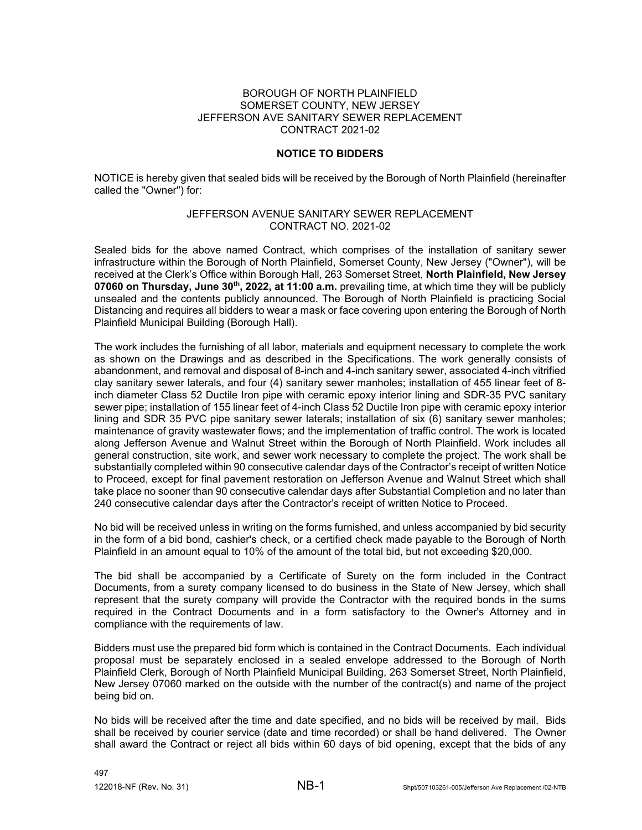## BOROUGH OF NORTH PLAINFIELD SOMERSET COUNTY, NEW JERSEY JEFFERSON AVE SANITARY SEWER REPLACEMENT CONTRACT 2021-02

## **NOTICE TO BIDDERS**

NOTICE is hereby given that sealed bids will be received by the Borough of North Plainfield (hereinafter called the "Owner") for:

## JEFFERSON AVENUE SANITARY SEWER REPLACEMENT CONTRACT NO. 2021-02

Sealed bids for the above named Contract, which comprises of the installation of sanitary sewer infrastructure within the Borough of North Plainfield, Somerset County, New Jersey ("Owner"), will be received at the Clerk's Office within Borough Hall, 263 Somerset Street, **North Plainfield, New Jersey 07060 on Thursday, June 30th, 2022, at 11:00 a.m.** prevailing time, at which time they will be publicly unsealed and the contents publicly announced. The Borough of North Plainfield is practicing Social Distancing and requires all bidders to wear a mask or face covering upon entering the Borough of North Plainfield Municipal Building (Borough Hall).

The work includes the furnishing of all labor, materials and equipment necessary to complete the work as shown on the Drawings and as described in the Specifications. The work generally consists of abandonment, and removal and disposal of 8-inch and 4-inch sanitary sewer, associated 4-inch vitrified clay sanitary sewer laterals, and four (4) sanitary sewer manholes; installation of 455 linear feet of 8 inch diameter Class 52 Ductile Iron pipe with ceramic epoxy interior lining and SDR-35 PVC sanitary sewer pipe; installation of 155 linear feet of 4-inch Class 52 Ductile Iron pipe with ceramic epoxy interior lining and SDR 35 PVC pipe sanitary sewer laterals; installation of six (6) sanitary sewer manholes; maintenance of gravity wastewater flows; and the implementation of traffic control. The work is located along Jefferson Avenue and Walnut Street within the Borough of North Plainfield. Work includes all general construction, site work, and sewer work necessary to complete the project. The work shall be substantially completed within 90 consecutive calendar days of the Contractor's receipt of written Notice to Proceed, except for final pavement restoration on Jefferson Avenue and Walnut Street which shall take place no sooner than 90 consecutive calendar days after Substantial Completion and no later than 240 consecutive calendar days after the Contractor's receipt of written Notice to Proceed.

No bid will be received unless in writing on the forms furnished, and unless accompanied by bid security in the form of a bid bond, cashier's check, or a certified check made payable to the Borough of North Plainfield in an amount equal to 10% of the amount of the total bid, but not exceeding \$20,000.

The bid shall be accompanied by a Certificate of Surety on the form included in the Contract Documents, from a surety company licensed to do business in the State of New Jersey, which shall represent that the surety company will provide the Contractor with the required bonds in the sums required in the Contract Documents and in a form satisfactory to the Owner's Attorney and in compliance with the requirements of law.

Bidders must use the prepared bid form which is contained in the Contract Documents. Each individual proposal must be separately enclosed in a sealed envelope addressed to the Borough of North Plainfield Clerk, Borough of North Plainfield Municipal Building, 263 Somerset Street, North Plainfield, New Jersey 07060 marked on the outside with the number of the contract(s) and name of the project being bid on.

No bids will be received after the time and date specified, and no bids will be received by mail. Bids shall be received by courier service (date and time recorded) or shall be hand delivered. The Owner shall award the Contract or reject all bids within 60 days of bid opening, except that the bids of any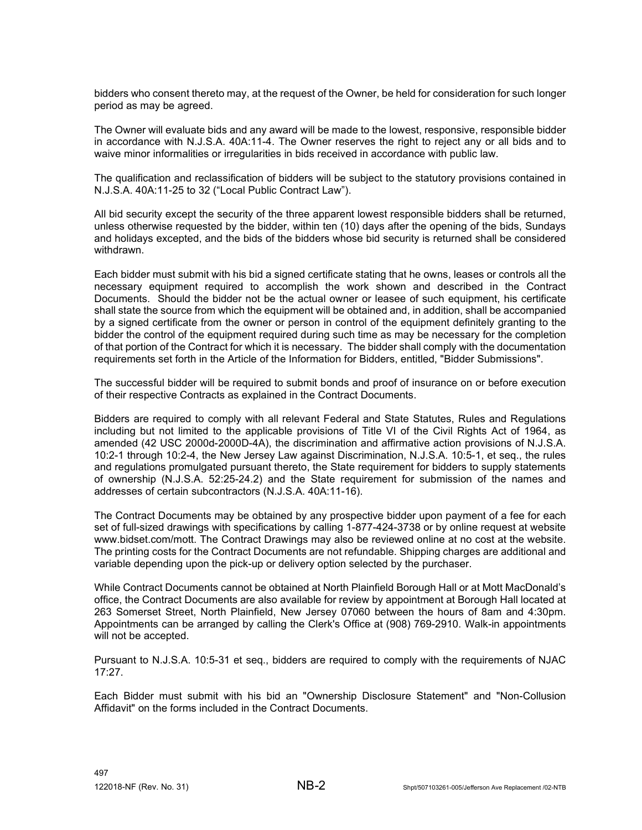bidders who consent thereto may, at the request of the Owner, be held for consideration for such longer period as may be agreed.

The Owner will evaluate bids and any award will be made to the lowest, responsive, responsible bidder in accordance with N.J.S.A. 40A:11-4. The Owner reserves the right to reject any or all bids and to waive minor informalities or irregularities in bids received in accordance with public law.

The qualification and reclassification of bidders will be subject to the statutory provisions contained in N.J.S.A. 40A:11-25 to 32 ("Local Public Contract Law").

All bid security except the security of the three apparent lowest responsible bidders shall be returned, unless otherwise requested by the bidder, within ten (10) days after the opening of the bids, Sundays and holidays excepted, and the bids of the bidders whose bid security is returned shall be considered withdrawn.

Each bidder must submit with his bid a signed certificate stating that he owns, leases or controls all the necessary equipment required to accomplish the work shown and described in the Contract Documents. Should the bidder not be the actual owner or leasee of such equipment, his certificate shall state the source from which the equipment will be obtained and, in addition, shall be accompanied by a signed certificate from the owner or person in control of the equipment definitely granting to the bidder the control of the equipment required during such time as may be necessary for the completion of that portion of the Contract for which it is necessary. The bidder shall comply with the documentation requirements set forth in the Article of the Information for Bidders, entitled, "Bidder Submissions".

The successful bidder will be required to submit bonds and proof of insurance on or before execution of their respective Contracts as explained in the Contract Documents.

Bidders are required to comply with all relevant Federal and State Statutes, Rules and Regulations including but not limited to the applicable provisions of Title VI of the Civil Rights Act of 1964, as amended (42 USC 2000d-2000D-4A), the discrimination and affirmative action provisions of N.J.S.A. 10:2-1 through 10:2-4, the New Jersey Law against Discrimination, N.J.S.A. 10:5-1, et seq., the rules and regulations promulgated pursuant thereto, the State requirement for bidders to supply statements of ownership (N.J.S.A. 52:25-24.2) and the State requirement for submission of the names and addresses of certain subcontractors (N.J.S.A. 40A:11-16).

The Contract Documents may be obtained by any prospective bidder upon payment of a fee for each set of full-sized drawings with specifications by calling 1-877-424-3738 or by online request at website www.bidset.com/mott. The Contract Drawings may also be reviewed online at no cost at the website. The printing costs for the Contract Documents are not refundable. Shipping charges are additional and variable depending upon the pick-up or delivery option selected by the purchaser.

While Contract Documents cannot be obtained at North Plainfield Borough Hall or at Mott MacDonald's office, the Contract Documents are also available for review by appointment at Borough Hall located at 263 Somerset Street, North Plainfield, New Jersey 07060 between the hours of 8am and 4:30pm. Appointments can be arranged by calling the Clerk's Office at (908) 769-2910. Walk-in appointments will not be accepted.

Pursuant to N.J.S.A. 10:5-31 et seq., bidders are required to comply with the requirements of NJAC 17:27.

Each Bidder must submit with his bid an "Ownership Disclosure Statement" and "Non-Collusion Affidavit" on the forms included in the Contract Documents.